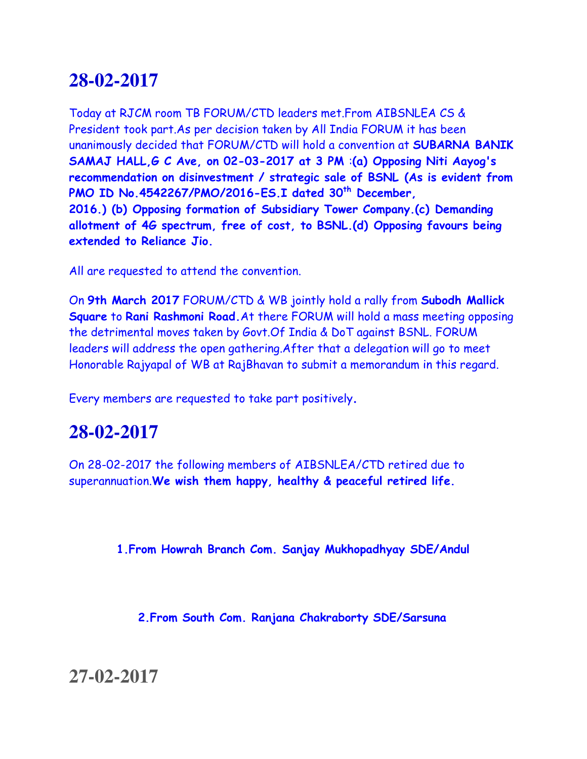Today at RJCM room TB FORUM/CTD leaders met.From AIBSNLEA CS & President took part.As per decision taken by All India FORUM it has been unanimously decided that FORUM/CTD will hold a convention at **SUBARNA BANIK SAMAJ HALL,G C Ave, on 02-03-2017 at 3 PM** :**(a) Opposing Niti Aayog's recommendation on disinvestment / strategic sale of BSNL (As is evident from PMO ID No.4542267/PMO/2016-ES.I dated 30th December, 2016.) (b) Opposing formation of Subsidiary Tower Company.(c) Demanding allotment of 4G spectrum, free of cost, to BSNL.(d) Opposing favours being extended to Reliance Jio.**

All are requested to attend the convention.

On **9th March 2017** FORUM/CTD & WB jointly hold a rally from **Subodh Mallick Square** to **Rani Rashmoni Road.**At there FORUM will hold a mass meeting opposing the detrimental moves taken by Govt.Of India & DoT against BSNL. FORUM leaders will address the open gathering.After that a delegation will go to meet Honorable Rajyapal of WB at RajBhavan to submit a memorandum in this regard.

Every members are requested to take part positively.

## **28-02-2017**

On 28-02-2017 the following members of AIBSNLEA/CTD retired due to superannuation.**We wish them happy, healthy & peaceful retired life.**

**1.From Howrah Branch Com. Sanjay Mukhopadhyay SDE/Andul**

**2.From South Com. Ranjana Chakraborty SDE/Sarsuna** 

**27-02-2017**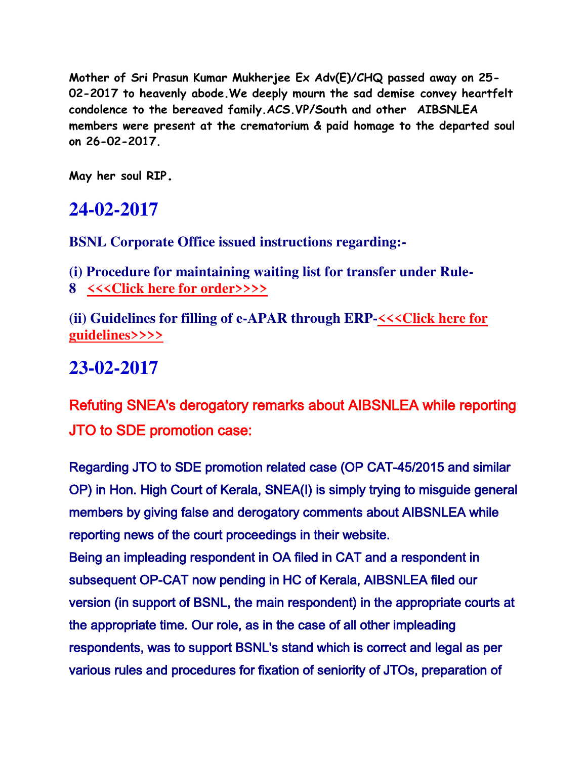**Mother of Sri Prasun Kumar Mukherjee Ex Adv(E)/CHQ passed away on 25- 02-2017 to heavenly abode.We deeply mourn the sad demise convey heartfelt condolence to the bereaved family.ACS.VP/South and other AIBSNLEA members were present at the crematorium & paid homage to the departed soul on 26-02-2017.** 

**May her soul RIP.**

## **24-02-2017**

**BSNL Corporate Office issued instructions regarding:-**

**(i) Procedure for maintaining waiting list for transfer under Rule-8 [<<<Click here for order>>>>](http://www.aibsnleachq.in/rule-8%20waiting%20list%20procedure.pdf)**

**(ii) Guidelines for filling of e-APAR through ERP[-<<<Click here for](http://www.aibsnleachq.in/e_APAR_230217.pdf)  [guidelines>>>>](http://www.aibsnleachq.in/e_APAR_230217.pdf)**

## **23-02-2017**

Refuting SNEA's derogatory remarks about AIBSNLEA while reporting JTO to SDE promotion case:

Regarding JTO to SDE promotion related case (OP CAT-45/2015 and similar OP) in Hon. High Court of Kerala, SNEA(I) is simply trying to misguide general members by giving false and derogatory comments about AIBSNLEA while reporting news of the court proceedings in their website. Being an impleading respondent in OA filed in CAT and a respondent in subsequent OP-CAT now pending in HC of Kerala, AIBSNLEA filed our version (in support of BSNL, the main respondent) in the appropriate courts at the appropriate time. Our role, as in the case of all other impleading respondents, was to support BSNL's stand which is correct and legal as per various rules and procedures for fixation of seniority of JTOs, preparation of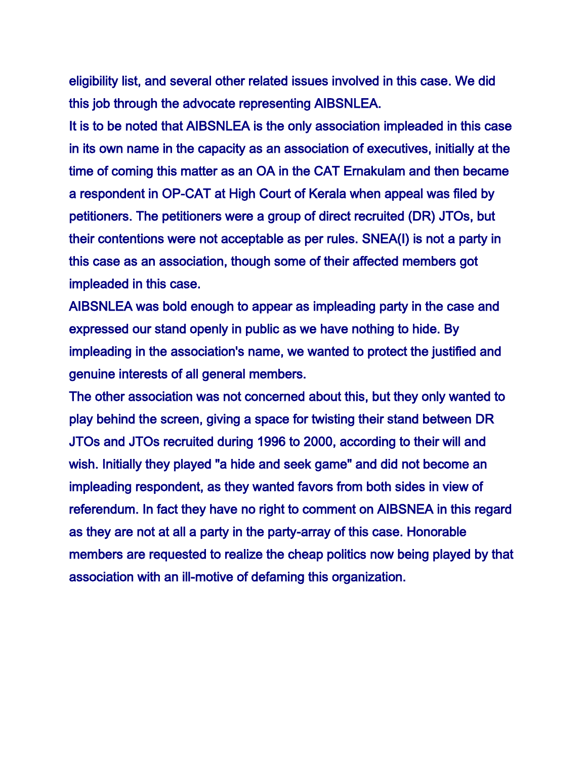eligibility list, and several other related issues involved in this case. We did this job through the advocate representing AIBSNLEA.

It is to be noted that AIBSNLEA is the only association impleaded in this case in its own name in the capacity as an association of executives, initially at the time of coming this matter as an OA in the CAT Ernakulam and then became a respondent in OP-CAT at High Court of Kerala when appeal was filed by petitioners. The petitioners were a group of direct recruited (DR) JTOs, but their contentions were not acceptable as per rules. SNEA(I) is not a party in this case as an association, though some of their affected members got impleaded in this case.

AIBSNLEA was bold enough to appear as impleading party in the case and expressed our stand openly in public as we have nothing to hide. By impleading in the association's name, we wanted to protect the justified and genuine interests of all general members.

The other association was not concerned about this, but they only wanted to play behind the screen, giving a space for twisting their stand between DR JTOs and JTOs recruited during 1996 to 2000, according to their will and wish. Initially they played "a hide and seek game" and did not become an impleading respondent, as they wanted favors from both sides in view of referendum. In fact they have no right to comment on AIBSNEA in this regard as they are not at all a party in the party-array of this case. Honorable members are requested to realize the cheap politics now being played by that association with an ill-motive of defaming this organization.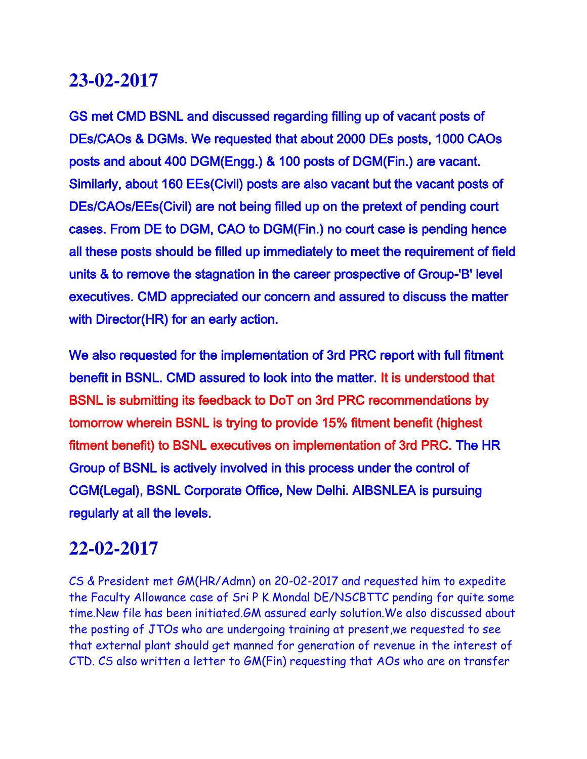GS met CMD BSNL and discussed regarding filling up of vacant posts of DEs/CAOs & DGMs. We requested that about 2000 DEs posts, 1000 CAOs posts and about 400 DGM(Engg.) & 100 posts of DGM(Fin.) are vacant. Similarly, about 160 EEs(Civil) posts are also vacant but the vacant posts of DEs/CAOs/EEs(Civil) are not being filled up on the pretext of pending court cases. From DE to DGM, CAO to DGM(Fin.) no court case is pending hence all these posts should be filled up immediately to meet the requirement of field units & to remove the stagnation in the career prospective of Group-'B' level executives. CMD appreciated our concern and assured to discuss the matter with Director(HR) for an early action.

We also requested for the implementation of 3rd PRC report with full fitment benefit in BSNL. CMD assured to look into the matter. It is understood that BSNL is submitting its feedback to DoT on 3rd PRC recommendations by tomorrow wherein BSNL is trying to provide 15% fitment benefit (highest fitment benefit) to BSNL executives on implementation of 3rd PRC. The HR Group of BSNL is actively involved in this process under the control of CGM(Legal), BSNL Corporate Office, New Delhi. AIBSNLEA is pursuing regularly at all the levels.

### **22-02-2017**

CS & President met GM(HR/Admn) on 20-02-2017 and requested him to expedite the Faculty Allowance case of Sri P K Mondal DE/NSCBTTC pending for quite some time.New file has been initiated.GM assured early solution.We also discussed about the posting of JTOs who are undergoing training at present,we requested to see that external plant should get manned for generation of revenue in the interest of CTD. CS also written a letter to GM(Fin) requesting that AOs who are on transfer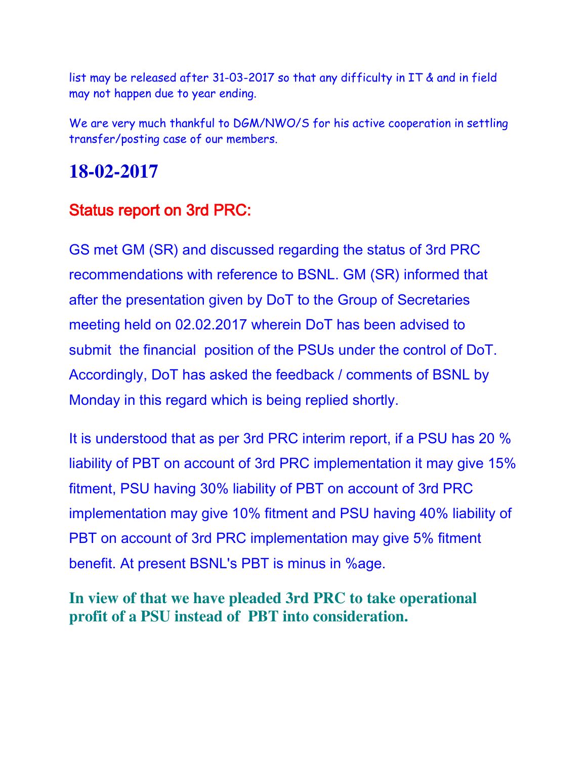list may be released after 31-03-2017 so that any difficulty in IT & and in field may not happen due to year ending.

We are very much thankful to DGM/NWO/S for his active cooperation in settling transfer/posting case of our members.

### **18-02-2017**

### Status report on 3rd PRC:

GS met GM (SR) and discussed regarding the status of 3rd PRC recommendations with reference to BSNL. GM (SR) informed that after the presentation given by DoT to the Group of Secretaries meeting held on 02.02.2017 wherein DoT has been advised to submit the financial position of the PSUs under the control of DoT. Accordingly, DoT has asked the feedback / comments of BSNL by Monday in this regard which is being replied shortly.

It is understood that as per 3rd PRC interim report, if a PSU has 20 % liability of PBT on account of 3rd PRC implementation it may give 15% fitment, PSU having 30% liability of PBT on account of 3rd PRC implementation may give 10% fitment and PSU having 40% liability of PBT on account of 3rd PRC implementation may give 5% fitment benefit. At present BSNL's PBT is minus in %age.

### **In view of that we have pleaded 3rd PRC to take operational profit of a PSU instead of PBT into consideration.**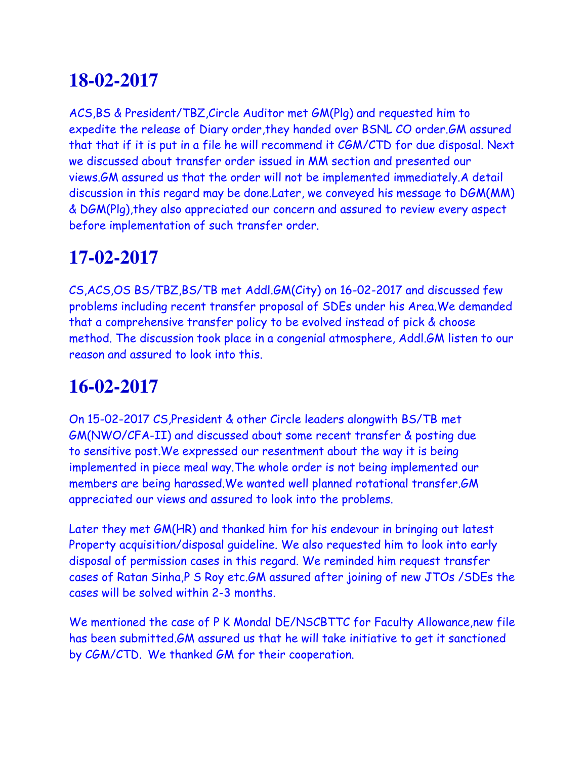ACS,BS & President/TBZ,Circle Auditor met GM(Plg) and requested him to expedite the release of Diary order,they handed over BSNL CO order.GM assured that that if it is put in a file he will recommend it CGM/CTD for due disposal. Next we discussed about transfer order issued in MM section and presented our views.GM assured us that the order will not be implemented immediately.A detail discussion in this regard may be done.Later, we conveyed his message to DGM(MM) & DGM(Plg),they also appreciated our concern and assured to review every aspect before implementation of such transfer order.

# **17-02-2017**

CS,ACS,OS BS/TBZ,BS/TB met Addl.GM(City) on 16-02-2017 and discussed few problems including recent transfer proposal of SDEs under his Area.We demanded that a comprehensive transfer policy to be evolved instead of pick & choose method. The discussion took place in a congenial atmosphere, Addl.GM listen to our reason and assured to look into this.

# **16-02-2017**

On 15-02-2017 CS,President & other Circle leaders alongwith BS/TB met GM(NWO/CFA-II) and discussed about some recent transfer & posting due to sensitive post.We expressed our resentment about the way it is being implemented in piece meal way.The whole order is not being implemented our members are being harassed.We wanted well planned rotational transfer.GM appreciated our views and assured to look into the problems.

Later they met GM(HR) and thanked him for his endevour in bringing out latest Property acquisition/disposal guideline. We also requested him to look into early disposal of permission cases in this regard. We reminded him request transfer cases of Ratan Sinha,P S Roy etc.GM assured after joining of new JTOs /SDEs the cases will be solved within 2-3 months.

We mentioned the case of P K Mondal DE/NSCBTTC for Faculty Allowance,new file has been submitted.GM assured us that he will take initiative to get it sanctioned by CGM/CTD. We thanked GM for their cooperation.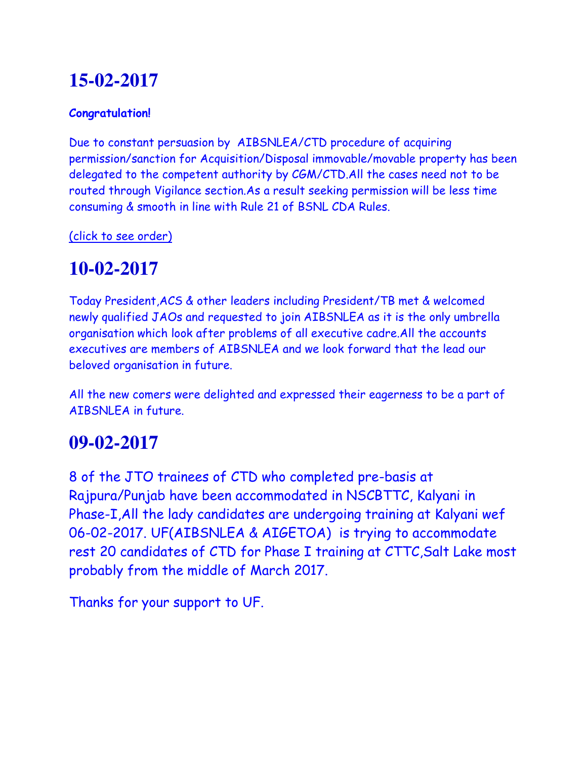#### **Congratulation!**

Due to constant persuasion by AIBSNLEA/CTD procedure of acquiring permission/sanction for Acquisition/Disposal immovable/movable property has been delegated to the competent authority by CGM/CTD.All the cases need not to be routed through Vigilance section.As a result seeking permission will be less time consuming & smooth in line with Rule 21 of BSNL CDA Rules.

(click to see order)

# **10-02-2017**

Today President,ACS & other leaders including President/TB met & welcomed newly qualified JAOs and requested to join AIBSNLEA as it is the only umbrella organisation which look after problems of all executive cadre.All the accounts executives are members of AIBSNLEA and we look forward that the lead our beloved organisation in future.

All the new comers were delighted and expressed their eagerness to be a part of AIBSNLEA in future.

# **09-02-2017**

8 of the JTO trainees of CTD who completed pre-basis at Rajpura/Punjab have been accommodated in NSCBTTC, Kalyani in Phase-I,All the lady candidates are undergoing training at Kalyani wef 06-02-2017. UF(AIBSNLEA & AIGETOA) is trying to accommodate rest 20 candidates of CTD for Phase I training at CTTC,Salt Lake most probably from the middle of March 2017.

Thanks for your support to UF.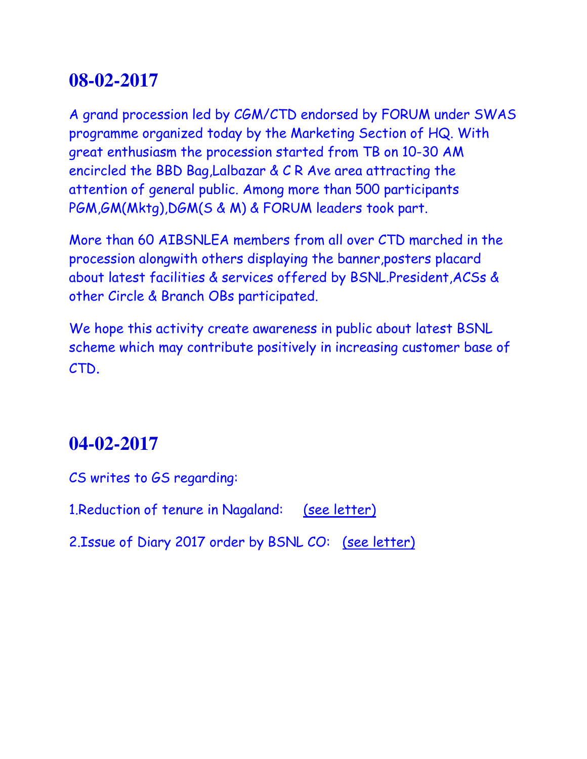A grand procession led by CGM/CTD endorsed by FORUM under SWAS programme organized today by the Marketing Section of HQ. With great enthusiasm the procession started from TB on 10-30 AM encircled the BBD Bag,Lalbazar & C R Ave area attracting the attention of general public. Among more than 500 participants PGM,GM(Mktg),DGM(S & M) & FORUM leaders took part.

More than 60 AIBSNLEA members from all over CTD marched in the procession alongwith others displaying the banner,posters placard about latest facilities & services offered by BSNL.President,ACSs & other Circle & Branch OBs participated.

We hope this activity create awareness in public about latest BSNL scheme which may contribute positively in increasing customer base of CTD.

## **04-02-2017**

CS writes to GS regarding:

1.Reduction of tenure in Nagaland: (see letter)

2.Issue of Diary 2017 order by BSNL CO: (see letter)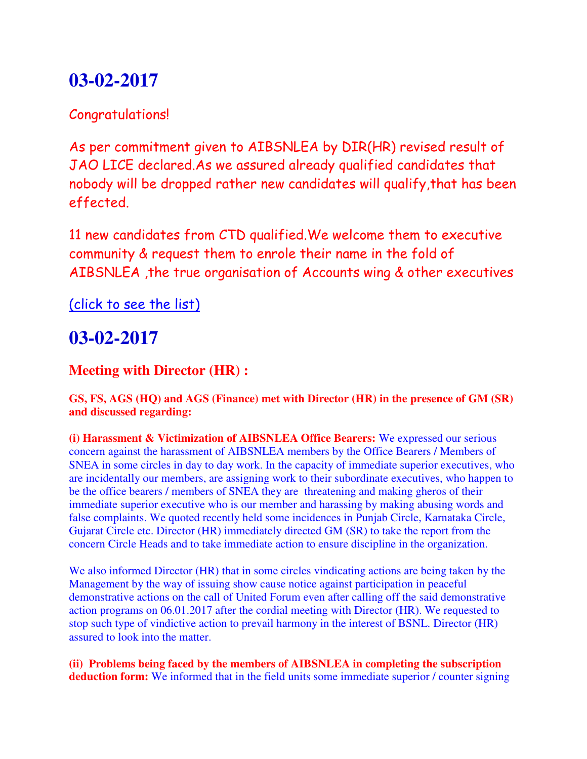### Congratulations!

As per commitment given to AIBSNLEA by DIR(HR) revised result of JAO LICE declared.As we assured already qualified candidates that nobody will be dropped rather new candidates will qualify,that has been effected.

11 new candidates from CTD qualified.We welcome them to executive community & request them to enrole their name in the fold of AIBSNLEA ,the true organisation of Accounts wing & other executives

(click to see the list)

## **03-02-2017**

### **Meeting with Director (HR) :**

#### **GS, FS, AGS (HQ) and AGS (Finance) met with Director (HR) in the presence of GM (SR) and discussed regarding:**

**(i) Harassment & Victimization of AIBSNLEA Office Bearers:** We expressed our serious concern against the harassment of AIBSNLEA members by the Office Bearers / Members of SNEA in some circles in day to day work. In the capacity of immediate superior executives, who are incidentally our members, are assigning work to their subordinate executives, who happen to be the office bearers / members of SNEA they are threatening and making gheros of their immediate superior executive who is our member and harassing by making abusing words and false complaints. We quoted recently held some incidences in Punjab Circle, Karnataka Circle, Gujarat Circle etc. Director (HR) immediately directed GM (SR) to take the report from the concern Circle Heads and to take immediate action to ensure discipline in the organization.

We also informed Director (HR) that in some circles vindicating actions are being taken by the Management by the way of issuing show cause notice against participation in peaceful demonstrative actions on the call of United Forum even after calling off the said demonstrative action programs on 06.01.2017 after the cordial meeting with Director (HR). We requested to stop such type of vindictive action to prevail harmony in the interest of BSNL. Director (HR) assured to look into the matter.

**(ii) Problems being faced by the members of AIBSNLEA in completing the subscription deduction form:** We informed that in the field units some immediate superior / counter signing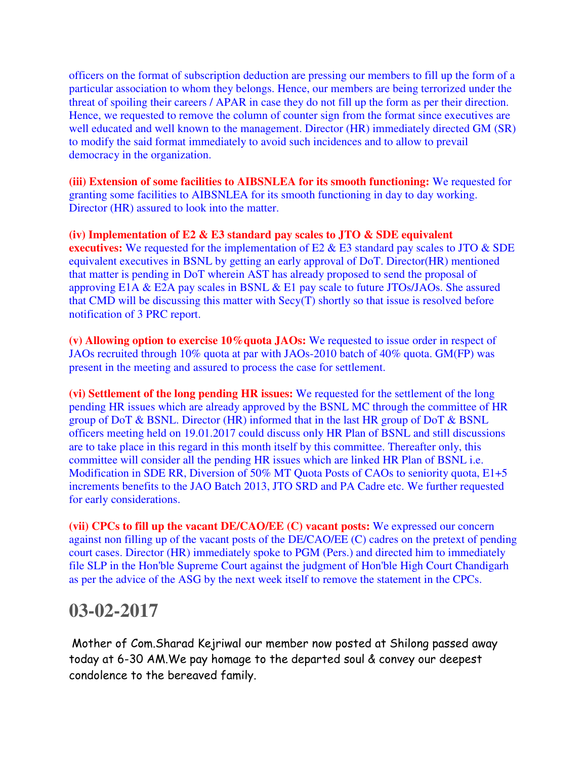officers on the format of subscription deduction are pressing our members to fill up the form of a particular association to whom they belongs. Hence, our members are being terrorized under the threat of spoiling their careers / APAR in case they do not fill up the form as per their direction. Hence, we requested to remove the column of counter sign from the format since executives are well educated and well known to the management. Director (HR) immediately directed GM (SR) to modify the said format immediately to avoid such incidences and to allow to prevail democracy in the organization.

**(iii) Extension of some facilities to AIBSNLEA for its smooth functioning:** We requested for granting some facilities to AIBSNLEA for its smooth functioning in day to day working. Director (HR) assured to look into the matter.

**(iv) Implementation of E2 & E3 standard pay scales to JTO & SDE equivalent executives:** We requested for the implementation of E2 & E3 standard pay scales to JTO & SDE equivalent executives in BSNL by getting an early approval of DoT. Director(HR) mentioned that matter is pending in DoT wherein AST has already proposed to send the proposal of approving E1A & E2A pay scales in BSNL & E1 pay scale to future JTOs/JAOs. She assured that CMD will be discussing this matter with Secy(T) shortly so that issue is resolved before notification of 3 PRC report.

**(v) Allowing option to exercise 10%quota JAOs:** We requested to issue order in respect of JAOs recruited through 10% quota at par with JAOs-2010 batch of 40% quota. GM(FP) was present in the meeting and assured to process the case for settlement.

**(vi) Settlement of the long pending HR issues:** We requested for the settlement of the long pending HR issues which are already approved by the BSNL MC through the committee of HR group of DoT & BSNL. Director (HR) informed that in the last HR group of DoT & BSNL officers meeting held on 19.01.2017 could discuss only HR Plan of BSNL and still discussions are to take place in this regard in this month itself by this committee. Thereafter only, this committee will consider all the pending HR issues which are linked HR Plan of BSNL i.e. Modification in SDE RR, Diversion of 50% MT Quota Posts of CAOs to seniority quota, E1+5 increments benefits to the JAO Batch 2013, JTO SRD and PA Cadre etc. We further requested for early considerations.

**(vii) CPCs to fill up the vacant DE/CAO/EE (C) vacant posts:** We expressed our concern against non filling up of the vacant posts of the DE/CAO/EE (C) cadres on the pretext of pending court cases. Director (HR) immediately spoke to PGM (Pers.) and directed him to immediately file SLP in the Hon'ble Supreme Court against the judgment of Hon'ble High Court Chandigarh as per the advice of the ASG by the next week itself to remove the statement in the CPCs.

### **03-02-2017**

Mother of Com.Sharad Kejriwal our member now posted at Shilong passed away today at 6-30 AM.We pay homage to the departed soul & convey our deepest condolence to the bereaved family.